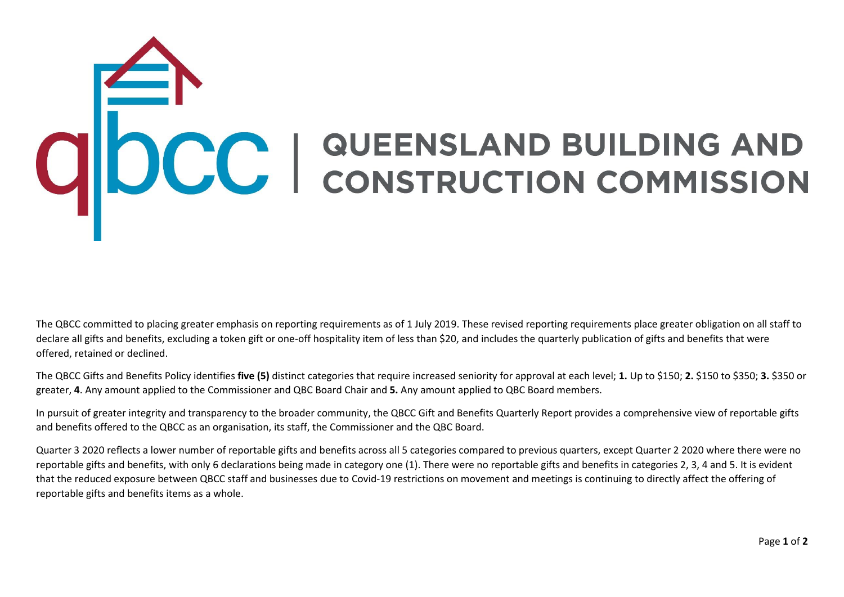## COC | QUEENSLAND BUILDING AND

The QBCC committed to placing greater emphasis on reporting requirements as of 1 July 2019. These revised reporting requirements place greater obligation on all staff to declare all gifts and benefits, excluding a token gift or one-off hospitality item of less than \$20, and includes the quarterly publication of gifts and benefits that were offered, retained or declined.

The QBCC Gifts and Benefits Policy identifies **five (5)** distinct categories that require increased seniority for approval at each level; **1.** Up to \$150; **2.** \$150 to \$350; **3.** \$350 or greater, **4**. Any amount applied to the Commissioner and QBC Board Chair and **5.** Any amount applied to QBC Board members.

In pursuit of greater integrity and transparency to the broader community, the QBCC Gift and Benefits Quarterly Report provides a comprehensive view of reportable gifts and benefits offered to the QBCC as an organisation, its staff, the Commissioner and the QBC Board.

Quarter 3 2020 reflects a lower number of reportable gifts and benefits across all 5 categories compared to previous quarters, except Quarter 2 2020 where there were no reportable gifts and benefits, with only 6 declarations being made in category one (1). There were no reportable gifts and benefits in categories 2, 3, 4 and 5. It is evident that the reduced exposure between QBCC staff and businesses due to Covid-19 restrictions on movement and meetings is continuing to directly affect the offering of reportable gifts and benefits items as a whole.